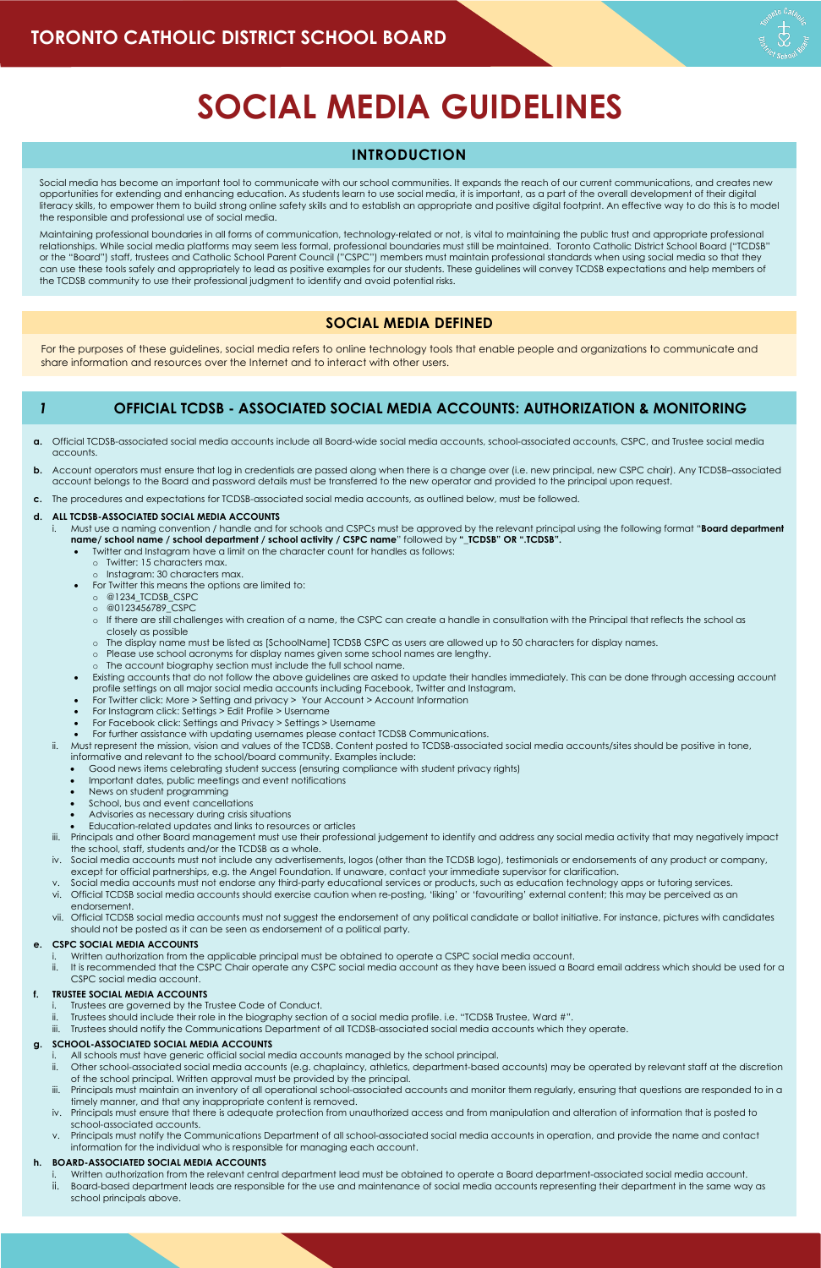# **SOCIAL MEDIA GUIDELINES**

# **INTRODUCTION**

Social media has become an important tool to communicate with our school communities. It expands the reach of our current communications, and creates new opportunities for extending and enhancing education. As students learn to use social media, it is important, as a part of the overall development of their digital literacy skills, to empower them to build strong online safety skills and to establish an appropriate and positive digital footprint. An effective way to do this is to model the responsible and professional use of social media.

Maintaining professional boundaries in all forms of communication, technology-related or not, is vital to maintaining the public trust and appropriate professional relationships. While social media platforms may seem less formal, professional boundaries must still be maintained. Toronto Catholic District School Board ("TCDSB" or the "Board") staff, trustees and Catholic School Parent Council ("CSPC") members must maintain professional standards when using social media so that they can use these tools safely and appropriately to lead as positive examples for our students. These guidelines will convey TCDSB expectations and help members of the TCDSB community to use their professional judgment to identify and avoid potential risks.

# **SOCIAL MEDIA DEFINED**

For the purposes of these guidelines, social media refers to online technology tools that enable people and organizations to communicate and share information and resources over the Internet and to interact with other users.

# *1* **OFFICIAL TCDSB - ASSOCIATED SOCIAL MEDIA ACCOUNTS: AUTHORIZATION & MONITORING**

- **a.** Official TCDSB-associated social media accounts include all Board-wide social media accounts, school-associated accounts, CSPC, and Trustee social media accounts.
- **b.** Account operators must ensure that log in credentials are passed along when there is a change over (i.e. new principal, new CSPC chair). Any TCDSB-associated account belongs to the Board and password details must be transferred to the new operator and provided to the principal upon request.
- **c.** The procedures and expectations for TCDSB-associated social media accounts, as outlined below, must be followed.

#### **d. ALL TCDSB-ASSOCIATED SOCIAL MEDIA ACCOUNTS**

- Trustees are governed by the Trustee Code of Conduct.
- ii. Trustees should include their role in the biography section of a social media profile. i.e. "TCDSB Trustee, Ward #".
- iii. Trustees should notify the Communications Department of all TCDSB-associated social media accounts which they operate.
- i. Must use a naming convention / handle and for schools and CSPCs must be approved by the relevant principal using the following format "**Board department name/ school name / school department / school activity / CSPC name**" followed by **"\_TCDSB" OR ".TCDSB".**
	- Twitter and Instagram have a limit on the character count for handles as follows:
		- o Twitter: 15 characters max.
		- o Instagram: 30 characters max.
	- For Twitter this means the options are limited to:
		- o @1234\_TCDSB\_CSPC
		- o @0123456789\_CSPC
		- o If there are still challenges with creation of a name, the CSPC can create a handle in consultation with the Principal that reflects the school as closely as possible
		- o The display name must be listed as [SchoolName] TCDSB CSPC as users are allowed up to 50 characters for display names.
		- o Please use school acronyms for display names given some school names are lengthy.
		- o The account biography section must include the full school name.
	- Existing accounts that do not follow the above guidelines are asked to update their handles immediately. This can be done through accessing account profile settings on all major social media accounts including Facebook, Twitter and Instagram.
	- For Twitter click: More > Setting and privacy > Your Account > Account Information
	- For Instagram click: Settings > Edit Profile > Username
	- For Facebook click: Settings and Privacy > Settings > Username
	- For further assistance with updating usernames please contact TCDSB Communications.
- ii. Must represent the mission, vision and values of the TCDSB. Content posted to TCDSB-associated social media accounts/sites should be positive in tone, informative and relevant to the school/board community. Examples include:
	- Good news items celebrating student success (ensuring compliance with student privacy rights)
	- Important dates, public meetings and event notifications
	- News on student programming
	- School, bus and event cancellations
	- Advisories as necessary during crisis situations
	- Education-related updates and links to resources or articles
- iii. Principals and other Board management must use their professional judgement to identify and address any social media activity that may negatively impact the school, staff, students and/or the TCDSB as a whole.
- iv. Social media accounts must not include any advertisements, logos (other than the TCDSB logo), testimonials or endorsements of any product or company, except for official partnerships, e.g. the Angel Foundation. If unaware, contact your immediate supervisor for clarification.
- v. Social media accounts must not endorse any third-party educational services or products, such as education technology apps or tutoring services.
- vi. Official TCDSB social media accounts should exercise caution when re-posting, 'liking' or 'favouriting' external content; this may be perceived as an endorsement.
- vii. Official TCDSB social media accounts must not suggest the endorsement of any political candidate or ballot initiative. For instance, pictures with candidates should not be posted as it can be seen as endorsement of a political party.

#### **e. CSPC SOCIAL MEDIA ACCOUNTS**

- i. Written authorization from the applicable principal must be obtained to operate a CSPC social media account.
- ii. It is recommended that the CSPC Chair operate any CSPC social media account as they have been issued a Board email address which should be used for a CSPC social media account.

## **f. TRUSTEE SOCIAL MEDIA ACCOUNTS**

#### **g. SCHOOL-ASSOCIATED SOCIAL MEDIA ACCOUNTS**

- i. All schools must have generic official social media accounts managed by the school principal.
- ii. Other school-associated social media accounts (e.g. chaplaincy, athletics, department-based accounts) may be operated by relevant staff at the discretion of the school principal. Written approval must be provided by the principal.
- iii. Principals must maintain an inventory of all operational school-associated accounts and monitor them regularly, ensuring that questions are responded to in a timely manner, and that any inappropriate content is removed.
- iv. Principals must ensure that there is adequate protection from unauthorized access and from manipulation and alteration of information that is posted to school-associated accounts.
- v. Principals must notify the Communications Department of all school-associated social media accounts in operation, and provide the name and contact information for the individual who is responsible for managing each account.

## **h. BOARD-ASSOCIATED SOCIAL MEDIA ACCOUNTS**

- i. Written authorization from the relevant central department lead must be obtained to operate a Board department-associated social media account.
- ii. Board-based department leads are responsible for the use and maintenance of social media accounts representing their department in the same way as school principals above.